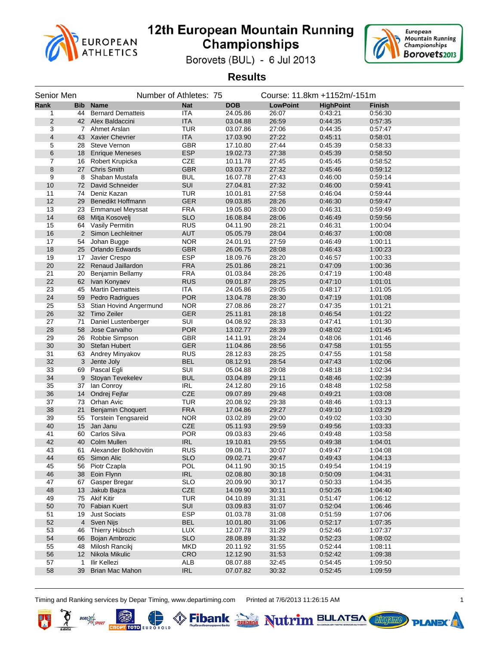



Borovets (BUL) - 6 Jul 2013

**Results**

| Senior Men     |     |                            | Number of Athletes: 75 |                      |                 | Course: 11.8km +1152m/-151m |               |  |
|----------------|-----|----------------------------|------------------------|----------------------|-----------------|-----------------------------|---------------|--|
| Rank           | Bib | <b>Name</b>                | <b>Nat</b>             | <b>DOB</b>           | <b>LowPoint</b> | <b>HighPoint</b>            | <b>Finish</b> |  |
| 1              | 44  | <b>Bernard Dematteis</b>   | <b>ITA</b>             | 24.05.86             | 26:07           | 0:43:21                     | 0:56:30       |  |
| $\overline{2}$ |     | 42 Alex Baldaccini         | <b>ITA</b>             | 03.04.88             | 26:59           | 0.44:35                     | 0:57:35       |  |
| 3              |     | 7 Ahmet Arslan             | <b>TUR</b>             | 03.07.86             | 27:06           | 0:44:35                     | 0:57:47       |  |
| 4              |     | 43 Xavier Chevrier         | <b>ITA</b>             | 17.03.90             | 27:22           | 0.45:11                     | 0.58.01       |  |
| 5              | 28  | <b>Steve Vernon</b>        | <b>GBR</b>             | 17.10.80             | 27:44           | 0:45:39                     | 0:58:33       |  |
| 6              | 18  | <b>Enrique Meneses</b>     | <b>ESP</b>             | 19.02.73             | 27:38           | 0.45.39                     | 0:58:50       |  |
| $\overline{7}$ | 16  | Robert Krupicka            | CZE                    | 10.11.78             | 27:45           | 0.45.45                     | 0:58:52       |  |
| 8              | 27  | <b>Chris Smith</b>         | <b>GBR</b>             | 03.03.77             | 27:32           | 0.45.46                     | 0:59:12       |  |
| 9              | 8   | Shaban Mustafa             | <b>BUL</b>             | 16.07.78             | 27:43           | 0.46:00                     | 0:59:14       |  |
| 10             | 72  | David Schneider            | SUI                    | 27.04.81             | 27:32           | 0.46:00                     | 0.59.41       |  |
| 11             | 74  | Deniz Kazan                | <b>TUR</b>             | 10.01.81             | 27:58           | 0:46:04                     | 0:59:44       |  |
| 12             | 29  | Benedikt Hoffmann          | <b>GER</b>             | 09.03.85             | 28:26           | 0:46:30                     | 0:59:47       |  |
| 13             | 23  | <b>Emmanuel Meyssat</b>    | <b>FRA</b>             | 19.05.80             | 28:00           | 0:46:31                     | 0:59:49       |  |
| 14             | 68  | Mitja Kosovelj             | <b>SLO</b>             | 16.08.84             | 28:06           | 0.46.49                     | 0:59:56       |  |
| 15             |     | 64 Vasily Permitin         | <b>RUS</b>             | 04.11.90             | 28:21           | 0:46:31                     | 1:00:04       |  |
| 16             |     | 2 Simon Lechleitner        | <b>AUT</b>             | 05.05.79             | 28:04           | 0.46.37                     | 1:00:08       |  |
| 17             | 54  | Johan Bugge                | <b>NOR</b>             | 24.01.91             | 27:59           | 0:46:49                     | 1:00:11       |  |
| 18             | 25  | <b>Orlando Edwards</b>     | <b>GBR</b>             | 26.06.75             | 28:08           | 0.46.43                     | 1:00:23       |  |
| 19             | 17  | Javier Crespo              | <b>ESP</b>             | 18.09.76             | 28:20           | 0:46:57                     | 1:00:33       |  |
| 20             | 22  | Renaud Jaillardon          | <b>FRA</b>             | 25.01.86             | 28:21           | 0.47.09                     | 1:00:36       |  |
| 21             | 20  | Benjamin Bellamy           | <b>FRA</b>             | 01.03.84             | 28:26           | 0:47:19                     | 1:00:48       |  |
| 22             | 62  | Ivan Konyaev               | <b>RUS</b>             | 09.01.87             | 28:25           | 0.47.10                     | 1:01:01       |  |
| 23             | 45  | <b>Martin Dematteis</b>    | <b>ITA</b>             | 24.05.86             | 29:05           | 0:48:17                     | 1:01:05       |  |
| 24             | 59  | Pedro Radrigues            | <b>POR</b>             | 13.04.78             | 28:30           | 0.47.19                     | 1:01:08       |  |
| 25             | 53  | Stian Hovind Angermund     | <b>NOR</b>             | 27.08.86             | 28:27           | 0:47:35                     | 1:01:21       |  |
| 26             |     | 32 Timo Zeiler             | <b>GER</b>             | 25.11.81             | 28:18           | 0.46.54                     | 1:01:22       |  |
| 27             | 71  | Daniel Lustenberger        | SUI                    | 04.08.92             | 28:33           | 0:47.41                     | 1:01:30       |  |
| 28             | 58  | Jose Carvalho              | <b>POR</b>             | 13.02.77             | 28:39           | 0.48:02                     | 1:01:45       |  |
| 29             |     | 26 Robbie Simpson          | GBR                    | 14.11.91             | 28:24           | 0:48:06                     | 1:01:46       |  |
| 30             | 30  | <b>Stefan Hubert</b>       | <b>GER</b>             | 11.04.86             | 28:56           | 0.47.58                     | 1:01:55       |  |
| 31             | 63  | Andrey Minyakov            | <b>RUS</b>             | 28.12.83             | 28:25           | 0:47:55                     | 1:01:58       |  |
| 32             | 3   | Jente Joly                 | <b>BEL</b>             | 08.12.91             | 28:54           | 0.47:43                     | 1:02:06       |  |
| 33             | 69  | Pascal Egli                | SUI                    | 05.04.88             | 29:08           | 0:48:18                     | 1:02:34       |  |
| 34             | 9   | Stoyan Tevekelev           | <b>BUL</b>             | 03.04.89             | 29:11           | 0.48.46                     | 1:02:39       |  |
| 35             | 37  | lan Conroy                 | <b>IRL</b>             | 24.12.80             | 29:16           | 0:48:48                     | 1:02:58       |  |
| 36             |     | 14 Ondrej Fejfar           | CZE                    | 09.07.89             | 29:48           | 0:49:21                     | 1:03:08       |  |
| 37             |     | 73 Orhan Avic              | <b>TUR</b>             | 20.08.92             | 29:38           | 0:48:46                     | 1:03:13       |  |
| 38             | 21  | Benjamin Choquert          | <b>FRA</b>             | 17.04.86             | 29:27           | 0.49:10                     | 1:03:29       |  |
| 39             | 55  | <b>Torstein Tengsareid</b> | <b>NOR</b>             | 03.02.89             | 29:00           | 0:49:02                     | 1:03:30       |  |
| 40             |     | 15 Jan Janu                | CZE                    | 05.11.93             | 29:59           | 0:49:56                     | 1:03:33       |  |
| 41             | 60  | Carlos Silva               | <b>POR</b>             | 09.03.83             | 29:46           | 0:49:48                     | 1:03:58       |  |
| 42             | 40  | Colm Mullen                | <b>IRL</b>             | 19.10.81             | 29:55           | 0:49:38                     | 1:04:01       |  |
| 43             | 61  | Alexander Bolkhovitin      | <b>RUS</b>             | 09.08.71             | 30:07           | 0.49.47                     | 1:04:08       |  |
| 44             |     | 65 Simon Alic              | <b>SLO</b>             | 09.02.71             | 29:47           | 0.49.43                     | 1:04:13       |  |
| 45             | 56  | Piotr Czapla               | POL                    | 04.11.90             | 30:15           | 0:49:54                     | 1:04:19       |  |
| 46             | 38  | Eoin Flynn                 | <b>IRL</b>             | 02.08.80             | 30:18           | 0.50:09                     | 1:04:31       |  |
| 47             | 67  | Gasper Bregar              | <b>SLO</b>             | 20.09.90             | 30:17           | 0:50:33                     | 1:04:35       |  |
| 48             | 13  | Jakub Bajza                | CZE                    | 14.09.90             | 30:11           | 0.50.26                     | 1:04:40       |  |
| 49             |     | 75 Akif Kitir              | <b>TUR</b>             | 04.10.89             | 31:31           | 0:51:47                     | 1:06:12       |  |
| 50             | 70  | <b>Fabian Kuert</b>        | SUI                    | 03.09.83             | 31:07           | 0:52:04                     | 1:06:46       |  |
| 51             | 19  | <b>Just Sociats</b>        | <b>ESP</b>             | 01.03.78             | 31:08           | 0:51:59                     | 1:07:06       |  |
| 52             |     | 4 Sven Nijs                | <b>BEL</b>             | 10.01.80             | 31:06           | 0.52:17                     | 1:07:35       |  |
| 53             | 46  | Thierry Hübsch             | <b>LUX</b>             | 12.07.78             | 31:29           | 0:52:46                     | 1:07:37       |  |
| 54             | 66  | <b>Bojan Ambrozic</b>      | <b>SLO</b>             | 28.08.89             | 31:32           | 0.52.23                     | 1:08:02       |  |
|                |     | Milosh Ranciki             | <b>MKD</b>             |                      |                 | 0:52:44                     | 1:08:11       |  |
| 55<br>56       | 48  | 12 Nikola Mikulic          | CRO                    | 20.11.92<br>12.12.90 | 31:55           | 0.52.42                     | 1:09:38       |  |
| 57             | 1   | Ilir Kellezi               | ALB                    | 08.07.88             | 31:53<br>32:45  | 0:54:45                     | 1:09:50       |  |
| 58             | 39  | <b>Brian Mac Mahon</b>     | <b>IRL</b>             | 07.07.82             | 30:32           | 0:52:45                     | 1:09:59       |  |
|                |     |                            |                        |                      |                 |                             |               |  |

Timing and Ranking services by Depar Timing, www.departiming.com Printed at 7/6/2013 11:26:15 AM 1

**CROPT TOTO EUR** 

叫

**Libraries** 

**PLANE** 

Fibank **Depted** Nutrim BULATSA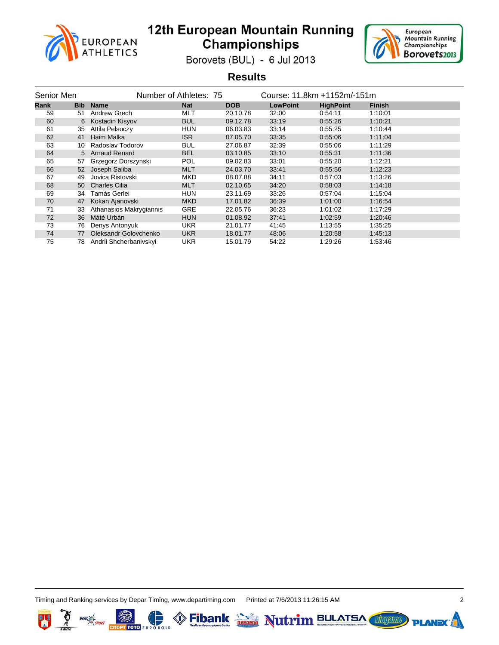



Borovets (BUL) - 6 Jul 2013

#### **Results**

| Senior Men<br>Number of Athletes: 75 |            |                         |            | Course: 11.8km +1152m/-151m |                 |                  |               |
|--------------------------------------|------------|-------------------------|------------|-----------------------------|-----------------|------------------|---------------|
| Rank                                 | <b>Bib</b> | <b>Name</b>             | <b>Nat</b> | <b>DOB</b>                  | <b>LowPoint</b> | <b>HighPoint</b> | <b>Finish</b> |
| 59                                   | 51         | Andrew Grech            | MLT        | 20.10.78                    | 32:00           | 0.54:11          | 1:10:01       |
| 60                                   | 6          | Kostadin Kisyov         | <b>BUL</b> | 09.12.78                    | 33:19           | 0.55:26          | 1:10:21       |
| 61                                   | 35         | Attila Pelsoczy         | <b>HUN</b> | 06.03.83                    | 33:14           | 0.55.25          | 1:10:44       |
| 62                                   | 41         | Haim Malka              | <b>ISR</b> | 07.05.70                    | 33:35           | 0:55:06          | 1:11:04       |
| 63                                   | 10         | Radoslav Todorov        | <b>BUL</b> | 27.06.87                    | 32:39           | 0.55.06          | 1:11:29       |
| 64                                   |            | 5 Arnaud Renard         | <b>BEL</b> | 03.10.85                    | 33:10           | 0:55:31          | 1:11:36       |
| 65                                   | 57         | Grzegorz Dorszynski     | <b>POL</b> | 09.02.83                    | 33:01           | 0.55:20          | 1:12:21       |
| 66                                   | 52         | Joseph Saliba           | <b>MLT</b> | 24.03.70                    | 33:41           | 0.55.56          | 1:12:23       |
| 67                                   | 49         | Jovica Ristovski        | <b>MKD</b> | 08.07.88                    | 34:11           | 0.57.03          | 1:13:26       |
| 68                                   | 50         | <b>Charles Cilia</b>    | <b>MLT</b> | 02.10.65                    | 34:20           | 0.58.03          | 1:14:18       |
| 69                                   | 34         | Tamás Gerlei            | <b>HUN</b> | 23.11.69                    | 33:26           | 0.57.04          | 1:15:04       |
| 70                                   | 47         | Kokan Ajanovski         | <b>MKD</b> | 17.01.82                    | 36:39           | 1:01:00          | 1:16:54       |
| 71                                   | 33         | Athanasios Makrygiannis | GRE        | 22.05.76                    | 36:23           | 1:01:02          | 1:17:29       |
| 72                                   | 36         | Máté Urbán              | <b>HUN</b> | 01.08.92                    | 37:41           | 1:02:59          | 1:20:46       |
| 73                                   | 76         | Denys Antonyuk          | UKR.       | 21.01.77                    | 41:45           | 1:13:55          | 1:35:25       |
| 74                                   | 77         | Oleksandr Golovchenko   | <b>UKR</b> | 18.01.77                    | 48:06           | 1:20:58          | 1:45:13       |
| 75                                   | 78         | Andrii Shcherbanivskyi  | UKR        | 15.01.79                    | 54:22           | 1:29:26          | 1:53:46       |

Fibank **Depted** Nutrim BULATSA



叫

**PLANE** 

**Lilogenne**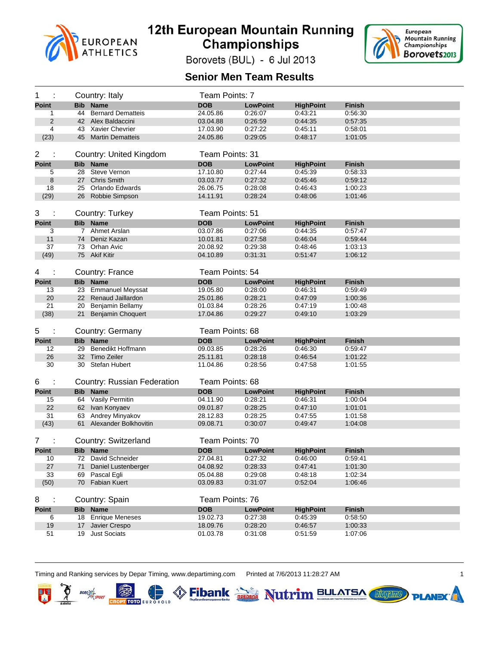



Borovets (BUL) - 6 Jul 2013

#### **Senior Men Team Results**

| 1<br>÷             |            | Country: Italy                              | Team Points: 7  |                            |                             |                          |
|--------------------|------------|---------------------------------------------|-----------------|----------------------------|-----------------------------|--------------------------|
| <b>Point</b>       | <b>Bib</b> | <b>Name</b>                                 | <b>DOB</b>      | <b>LowPoint</b>            | <b>HighPoint</b>            | <b>Finish</b>            |
| 1                  | 44         | <b>Bernard Dematteis</b>                    | 24.05.86        | 0:26:07                    | 0:43:21                     | 0:56:30                  |
| 2                  |            | 42 Alex Baldaccini                          | 03.04.88        | 0:26:59                    | 0:44:35                     | 0:57:35                  |
| 4                  |            | 43 Xavier Chevrier                          | 17.03.90        | 0:27:22                    | 0:45:11                     | 0:58:01                  |
| (23)               |            | 45 Martin Dematteis                         | 24.05.86        | 0:29:05                    | 0:48:17                     | 1:01:05                  |
|                    |            |                                             |                 |                            |                             |                          |
| 2                  |            | Country: United Kingdom                     | Team Points: 31 |                            |                             |                          |
| <b>Point</b>       |            | <b>Bib Name</b>                             | <b>DOB</b>      | <b>LowPoint</b>            | <b>HighPoint</b>            | <b>Finish</b>            |
| 5                  |            | 28 Steve Vernon                             | 17.10.80        | 0.27.44                    | 0:45:39                     | 0:58:33                  |
| 8                  |            | 27 Chris Smith                              | 03.03.77        | 0:27:32                    | 0:45.46                     | 0:59:12                  |
| 18                 |            | 25 Orlando Edwards                          | 26.06.75        | 0:28:08                    | 0:46:43                     | 1:00:23                  |
| (29)               |            | 26 Robbie Simpson                           | 14.11.91        | 0:28:24                    | 0:48:06                     | 1:01:46                  |
|                    |            |                                             |                 |                            |                             |                          |
| 3<br>÷             |            | Country: Turkey                             | Team Points: 51 |                            |                             |                          |
| <b>Point</b>       |            | <b>Bib Name</b>                             | <b>DOB</b>      | <b>LowPoint</b>            |                             | <b>Finish</b>            |
| 3                  |            | 7 Ahmet Arslan                              | 03.07.86        | 0:27:06                    | <b>HighPoint</b><br>0:44:35 | 0:57:47                  |
| 11                 | 74         | Deniz Kazan                                 | 10.01.81        | 0.27:58                    | 0:46.04                     | 0:59:44                  |
| 37                 |            | 73 Orhan Avic                               | 20.08.92        | 0:29:38                    | 0:48:46                     | 1:03:13                  |
| (49)               |            | 75 Akif Kitir                               | 04.10.89        | 0:31:31                    | 0:51:47                     | 1:06:12                  |
|                    |            |                                             |                 |                            |                             |                          |
| 4<br>÷             |            | Country: France                             | Team Points: 54 |                            |                             |                          |
|                    |            |                                             |                 |                            |                             |                          |
| <b>Point</b>       |            | <b>Bib Name</b>                             | <b>DOB</b>      | <b>LowPoint</b>            | <b>HighPoint</b>            | <b>Finish</b>            |
| 13                 |            | 23 Emmanuel Meyssat                         | 19.05.80        | 0:28:00                    | 0:46:31                     | 0:59:49                  |
| 20                 |            | 22 Renaud Jaillardon<br>20 Benjamin Bellamy | 25.01.86        | 0:28:21                    | 0:47:09<br>0:47:19          | 1:00:36                  |
| 21                 |            |                                             | 01.03.84        | 0:28:26                    |                             | 1:00:48                  |
| (38)               |            | 21 Benjamin Choquert                        | 17.04.86        | 0:29:27                    | 0:49:10                     | 1:03:29                  |
| 5<br>÷             |            | Country: Germany                            | Team Points: 68 |                            |                             |                          |
| <b>Point</b>       |            | <b>Bib Name</b>                             | <b>DOB</b>      | <b>LowPoint</b>            | <b>HighPoint</b>            | <b>Finish</b>            |
| 12                 |            | 29 Benedikt Hoffmann                        | 09.03.85        | 0:28:26                    | 0:46:30                     | 0:59:47                  |
| 26                 |            | 32 Timo Zeiler                              | 25.11.81        | 0:28:18                    | 0:46:54                     | 1:01:22                  |
| 30                 |            | 30 Stefan Hubert                            | 11.04.86        | 0:28:56                    | 0:47:58                     | 1:01:55                  |
|                    |            |                                             |                 |                            |                             |                          |
| 6<br>÷             |            | Country: Russian Federation                 | Team Points: 68 |                            |                             |                          |
|                    |            | <b>Bib Name</b>                             | <b>DOB</b>      |                            |                             |                          |
| <b>Point</b><br>15 |            | 64 Vasily Permitin                          | 04.11.90        | <b>LowPoint</b><br>0:28:21 | <b>HighPoint</b><br>0:46:31 | <b>Finish</b><br>1:00:04 |
| 22                 |            | 62 Ivan Konyaev                             | 09.01.87        | 0:28:25                    | 0.47:10                     | 1:01:01                  |
| 31                 |            | 63 Andrey Minyakov                          | 28.12.83        | 0:28:25                    | 0:47:55                     | 1:01:58                  |
| (43)               |            | 61 Alexander Bolkhovitin                    | 09.08.71        | 0:30:07                    | 0:49:47                     | 1:04:08                  |
|                    |            |                                             |                 |                            |                             |                          |
| 7                  |            | Country: Switzerland                        | Team Points: 70 |                            |                             |                          |
| Point              |            | <b>Bib Name</b>                             | <b>DOB</b>      | <b>LowPoint</b>            | <b>HighPoint</b>            | Finish                   |
| 10                 |            | 72 David Schneider                          | 27.04.81        | 0:27:32                    | 0:46:00                     | 0:59:41                  |
| 27                 | 71         | Daniel Lustenberger                         | 04.08.92        | 0.28:33                    | 0.47.41                     | 1:01:30                  |
| 33                 | 69         | Pascal Egli                                 | 05.04.88        | 0.29.08                    | 0.48.18                     | 1:02:34                  |
| (50)               | 70         | <b>Fabian Kuert</b>                         | 03.09.83        | 0:31:07                    | 0.52.04                     | 1:06:46                  |
|                    |            |                                             |                 |                            |                             |                          |
| 8                  |            | Country: Spain                              | Team Points: 76 |                            |                             |                          |
| Point              |            | <b>Bib Name</b>                             | <b>DOB</b>      | <b>LowPoint</b>            | <b>HighPoint</b>            | <b>Finish</b>            |
| 6                  | 18         | <b>Enrique Meneses</b>                      | 19.02.73        | 0.27.38                    | 0:45:39                     | 0:58:50                  |
| 19                 | 17         | Javier Crespo                               | 18.09.76        | 0.28.20                    | 0.46.57                     | 1:00:33                  |
| 51                 |            | 19 Just Sociats                             | 01.03.78        | 0:31:08                    | 0:51:59                     | 1:07:06                  |

(D. S. Fibank Die Nutrim BULATSA

Timing and Ranking services by Depar Timing, www.departiming.com Printed at 7/6/2013 11:28:27 AM 1

叫

Ŗ

 $BORO$ 

B



**PLANEX**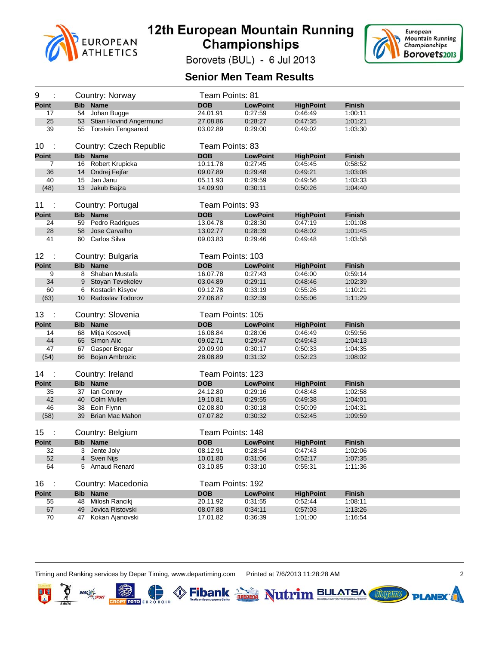



Borovets (BUL) - 6 Jul 2013

#### **Senior Men Team Results**

| 9                    |            | Country: Norway                        | Team Points: 81      |                    |                             |                    |
|----------------------|------------|----------------------------------------|----------------------|--------------------|-----------------------------|--------------------|
| <b>Point</b>         | <b>Bib</b> | <b>Name</b>                            | <b>DOB</b>           | <b>LowPoint</b>    | <b>HighPoint</b>            | <b>Finish</b>      |
| 17                   |            | 54 Johan Bugge                         | 24.01.91             | 0:27:59            | 0:46:49                     | 1:00:11            |
| 25                   |            | 53 Stian Hovind Angermund              | 27.08.86             | 0:28:27            | 0:47:35                     | 1:01:21            |
| 39                   |            | 55 Torstein Tengsareid                 | 03.02.89             | 0:29:00            | 0:49:02                     | 1:03:30            |
| 10<br>$\sim$         |            | Country: Czech Republic                | Team Points: 83      |                    |                             |                    |
| <b>Point</b>         | <b>Bib</b> | <b>Name</b>                            | <b>DOB</b>           | <b>LowPoint</b>    | <b>HighPoint</b>            | <b>Finish</b>      |
| $\overline{7}$       |            | 16 Robert Krupicka                     | 10.11.78             | 0:27:45            | 0:45:45                     | 0:58:52            |
| 36                   |            | 14 Ondrej Fejfar                       | 09.07.89             | 0:29:48            | 0:49:21                     | 1:03:08            |
| 40                   |            | 15 Jan Janu                            | 05.11.93             | 0:29:59            | 0:49:56                     | 1:03:33            |
| (48)                 |            | 13 Jakub Bajza                         | 14.09.90             | 0:30:11            | 0:50:26                     | 1:04:40            |
| 11<br>- 1            |            | Country: Portugal                      | Team Points: 93      |                    |                             |                    |
| <b>Point</b>         | Bib        | <b>Name</b>                            | <b>DOB</b>           | <b>LowPoint</b>    | <b>HighPoint</b>            | <b>Finish</b>      |
| 24                   |            | 59 Pedro Radrigues                     | 13.04.78             | 0.28.30            | 0:47:19                     | 1:01:08            |
| 28                   |            | 58 Jose Carvalho                       | 13.02.77             | 0:28:39            | 0:48:02                     | 1:01:45            |
| 41                   |            | 60 Carlos Silva                        | 09.03.83             | 0:29:46            | 0:49:48                     | 1:03:58            |
|                      |            |                                        |                      |                    |                             |                    |
| 12<br>$\mathbb{R}^2$ |            | Country: Bulgaria                      | Team Points: 103     |                    |                             |                    |
| <b>Point</b>         | <b>Bib</b> | <b>Name</b>                            | <b>DOB</b>           | <b>LowPoint</b>    | <b>HighPoint</b>            | <b>Finish</b>      |
| 9                    | 8          | Shaban Mustafa                         | 16.07.78             | 0:27:43            | 0:46:00                     | 0:59:14            |
| 34                   | 9          | Stoyan Tevekelev                       | 03.04.89             | 0:29:11            | 0.48:46                     | 1:02:39            |
| 60                   | 6          | Kostadin Kisyov                        | 09.12.78             | 0:33:19            | 0:55:26                     | 1:10:21            |
| (63)                 |            | 10 Radoslay Todorov                    | 27.06.87             | 0:32:39            | 0:55:06                     | 1:11:29            |
|                      |            |                                        |                      |                    |                             |                    |
| 13<br>- 1            |            |                                        | Team Points: 105     |                    |                             |                    |
| <b>Point</b>         |            | Country: Slovenia                      | <b>DOB</b>           | <b>LowPoint</b>    |                             | <b>Finish</b>      |
| 14                   |            | <b>Bib</b> Name<br>68 Mitja Kosovelj   | 16.08.84             | 0:28:06            | <b>HighPoint</b><br>0:46:49 | 0:59:56            |
| 44                   |            | 65 Simon Alic                          | 09.02.71             | 0:29:47            | 0:49:43                     | 1:04:13            |
| 47                   |            |                                        | 20.09.90             | 0:30:17            | 0:50:33                     | 1:04:35            |
| (54)                 |            | 67 Gasper Bregar<br>66 Bojan Ambrozic  | 28.08.89             | 0:31:32            | 0:52:23                     | 1:08:02            |
| 14<br>- 1            |            |                                        |                      |                    |                             |                    |
|                      |            | Country: Ireland                       | Team Points: 123     |                    |                             |                    |
| <b>Point</b>         |            | <b>Bib</b> Name                        | <b>DOB</b>           | <b>LowPoint</b>    | <b>HighPoint</b>            | <b>Finish</b>      |
| 35                   |            | 37 Ian Conroy                          | 24.12.80             | 0.29:16            | 0:48:48                     | 1:02:58            |
| 42                   | 40         | Colm Mullen                            | 19.10.81             | 0:29:55<br>0:30:18 | 0:49:38<br>0:50:09          | 1:04:01            |
| 46<br>(58)           |            | 38 Eoin Flynn<br>39 Brian Mac Mahon    | 02.08.80<br>07.07.82 | 0:30:32            | 0:52:45                     | 1:04:31<br>1:09:59 |
|                      |            |                                        |                      |                    |                             |                    |
| 15                   |            | Country: Belgium                       | Team Points: 148     |                    |                             |                    |
| <b>Point</b>         |            | <b>Bib Name</b>                        | <b>DOB</b>           | <b>LowPoint</b>    | <b>HighPoint</b>            | <b>Finish</b>      |
| 32                   |            | 3 Jente Joly                           | 08.12.91             | 0:28:54            | 0:47:43                     | 1:02:06            |
| 52                   |            | 4 Sven Nijs                            | 10.01.80             | 0:31:06            | 0:52:17                     | 1:07:35            |
| 64                   |            | 5 Arnaud Renard                        | 03.10.85             | 0:33:10            | 0:55:31                     | 1:11:36            |
| 16<br>- 1            |            | Country: Macedonia                     | Team Points: 192     |                    |                             |                    |
| <b>Point</b>         |            | <b>Bib Name</b>                        | <b>DOB</b>           | <b>LowPoint</b>    | <b>HighPoint</b>            | <b>Finish</b>      |
| 55                   |            | 48 Milosh Rancikj                      | 20.11.92             | 0:31:55            | 0.52.44                     | 1:08:11            |
| 67<br>70             | 49         | Jovica Ristovski<br>47 Kokan Ajanovski | 08.07.88<br>17.01.82 | 0:34:11<br>0:36:39 | 0:57:03<br>1:01:00          | 1:13:26<br>1:16:54 |

(D. S. Fibank Die Nutrim BULATSA

Timing and Ranking services by Depar Timing, www.departiming.com Printed at 7/6/2013 11:28:28 AM 2

叫

Ŗ

 $BORO$ 

B



**PLANEX**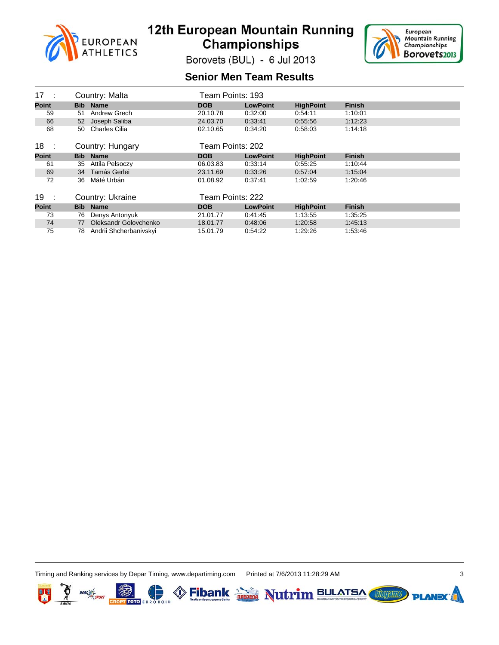



Borovets (BUL) - 6 Jul 2013

#### **Senior Men Team Results**

| 17<br>- 1    |                 | Country: Malta         | Team Points: 193 |                 |                  |               |
|--------------|-----------------|------------------------|------------------|-----------------|------------------|---------------|
| <b>Point</b> |                 | <b>Bib</b> Name        | <b>DOB</b>       | <b>LowPoint</b> | <b>HighPoint</b> | <b>Finish</b> |
| 59           | 51              | Andrew Grech           | 20.10.78         | 0.32:00         | 0.54.11          | 1:10:01       |
| 66           | 52 <sub>2</sub> | Joseph Saliba          | 24.03.70         | 0:33:41         | 0.55.56          | 1:12:23       |
| 68           | 50              | <b>Charles Cilia</b>   | 02.10.65         | 0:34:20         | 0:58:03          | 1:14:18       |
| 18<br>- 1    |                 | Country: Hungary       | Team Points: 202 |                 |                  |               |
| <b>Point</b> |                 | <b>Bib</b> Name        | <b>DOB</b>       | <b>LowPoint</b> | <b>HighPoint</b> | <b>Finish</b> |
| 61           | 35              | Attila Pelsoczy        | 06.03.83         | 0.33.14         | 0.55.25          | 1:10:44       |
| 69           | 34              | Tamás Gerlei           | 23.11.69         | 0.33.26         | 0.57.04          | 1:15:04       |
| 72           | 36              | Máté Urbán             | 01.08.92         | 0.37.41         | 1:02:59          | 1:20:46       |
| 19<br>- 1    |                 | Country: Ukraine       | Team Points: 222 |                 |                  |               |
| <b>Point</b> |                 | <b>Bib</b> Name        | <b>DOB</b>       | <b>LowPoint</b> | <b>HighPoint</b> | <b>Finish</b> |
| 73           | 76              | Denys Antonyuk         | 21.01.77         | 0:41:45         | 1:13:55          | 1:35:25       |
| 74           | 77              | Oleksandr Golovchenko  | 18.01.77         | 0:48:06         | 1:20:58          | 1:45:13       |
| 75           | 78              | Andrii Shcherbanivskyi | 15.01.79         | 0:54:22         | 1:29:26          | 1:53:46       |

Timing and Ranking services by Depar Timing, www.departiming.com Printed at 7/6/2013 11:28:29 AM 3



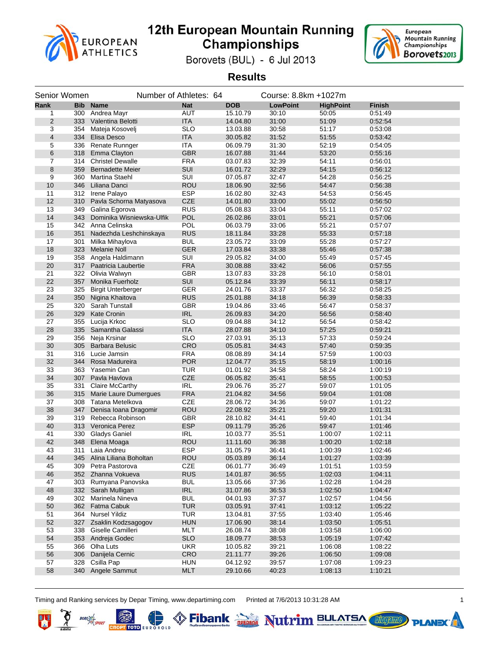



Borovets (BUL) - 6 Jul 2013

**Results**

|                 | Senior Women |                            | Number of Athletes: 64 |                      | Course: 8.8km +1027m |                  |               |  |
|-----------------|--------------|----------------------------|------------------------|----------------------|----------------------|------------------|---------------|--|
| Rank            |              | <b>Bib Name</b>            | <b>Nat</b>             | <b>DOB</b>           | <b>LowPoint</b>      | <b>HighPoint</b> | <b>Finish</b> |  |
| 1               | 300          | Andrea Mayr                | <b>AUT</b>             | 15.10.79             | 30:10                | 50:05            | 0:51:49       |  |
| $\overline{2}$  | 333          | Valentina Belotti          | <b>ITA</b>             | 14.04.80             | 31:00                | 51:09            | 0:52:54       |  |
| 3               | 354          | Mateja Kosovelj            | <b>SLO</b>             | 13.03.88             | 30:58                | 51:17            | 0:53:08       |  |
| 4               |              | 334 Elisa Desco            | <b>ITA</b>             | 30.05.82             | 31:52                | 51:55            | 0:53:42       |  |
| 5               | 336          | Renate Runnger             | <b>ITA</b>             | 06.09.79             | 31:30                | 52:19            | 0:54:05       |  |
| $6\phantom{1}6$ | 318          | Emma Clayton               | <b>GBR</b>             | 16.07.88             | 31:44                | 53:20            | 0.55:16       |  |
| $\overline{7}$  |              | 314 Christel Dewalle       | <b>FRA</b>             | 03.07.83             | 32:39                | 54:11            | 0:56:01       |  |
| 8               | 359          | <b>Bernadette Meier</b>    | SUI                    | 16.01.72             | 32:29                | 54:15            | 0:56:12       |  |
| 9               | 360          | Martina Staehl             | SUI                    | 07.05.87             | 32:47                | 54:28            | 0:56:25       |  |
| 10              | 346          | Liliana Danci              | <b>ROU</b>             | 18.06.90             | 32:56                | 54:47            | 0.56:38       |  |
| 11              |              | 312 Irene Palayo           | <b>ESP</b>             | 16.02.80             | 32:43                | 54:53            | 0:56:45       |  |
| 12              | 310          | Pavla Schorna Matyasova    | <b>CZE</b>             | 14.01.80             | 33:00                | 55:02            | 0.56.50       |  |
| 13              | 349          | Galina Egorova             | <b>RUS</b>             | 05.08.83             | 33:04                | 55:11            | 0:57:02       |  |
| 14              | 343          | Dominika Wisniewska-Ulfik  | <b>POL</b>             | 26.02.86             | 33:01                | 55:21            | 0.57:06       |  |
| 15              |              | 342 Anna Celinska          | <b>POL</b>             | 06.03.79             | 33:06                | 55:21            | 0:57:07       |  |
| 16              | 351          | Nadezhda Leshchinskaya     | <b>RUS</b>             | 18.11.84             | 33:28                | 55:33            | 0.57:18       |  |
| 17              | 301          | Milka Mihaylova            | <b>BUL</b>             | 23.05.72             | 33:09                | 55:28            | 0:57:27       |  |
| 18              | 323          | <b>Melanie Noll</b>        | <b>GER</b>             | 17.03.84             | 33:38                | 55:46            | 0.57:38       |  |
| 19              | 358          | Angela Haldimann           | SUI                    | 29.05.82             | 34:00                | 55:49            | 0:57:45       |  |
| 20              |              | 317 Paatricia Laubertie    | <b>FRA</b>             | 30.08.88             | 33:42                | 56:06            | 0.57:55       |  |
| 21              |              | 322 Olivia Walwyn          | GBR                    | 13.07.83             | 33:28                | 56:10            | 0:58:01       |  |
| 22              | 357          | <b>Monika Fuerholz</b>     | SUI                    | 05.12.84             | 33:39                | 56:11            | 0:58:17       |  |
| 23              | 325          | <b>Birgit Unterberger</b>  | <b>GER</b>             | 24.01.76             | 33:37                | 56:32            | 0:58:25       |  |
| 24              | 350          | Nigina Khaitova            | <b>RUS</b>             | 25.01.88             | 34:18                | 56:39            | 0:58:33       |  |
| 25              | 320          | <b>Sarah Tunstall</b>      | GBR                    | 19.04.86             | 33:46                | 56:47            | 0:58:37       |  |
| 26              | 329          | <b>Kate Cronin</b>         | <b>IRL</b>             | 26.09.83             | 34:20                | 56:56            | 0.58.40       |  |
| 27              | 355          | Lucija Krkoc               | <b>SLO</b>             |                      | 34:12                | 56:54            | 0:58:42       |  |
| 28              | 335          | Samantha Galassi           | <b>ITA</b>             | 09.04.88<br>28.07.88 | 34:10                | 57:25            | 0.59.21       |  |
| 29              |              |                            |                        |                      |                      |                  |               |  |
|                 | 356<br>305   | Neja Krsinar               | <b>SLO</b>             | 27.03.91             | 35:13                | 57:33            | 0:59:24       |  |
| 30              |              | <b>Barbara Belusic</b>     | <b>CRO</b>             | 05.05.81             | 34:43                | 57:40            | 0:59:35       |  |
| 31              | 316          | Lucie Jamsin               | <b>FRA</b>             | 08.08.89             | 34:14                | 57:59            | 1:00:03       |  |
| 32              | 344          | Rosa Madureira             | <b>POR</b>             | 12.04.77             | 35:15                | 58:19            | 1:00:16       |  |
| 33              | 363          | Yasemin Can                | <b>TUR</b>             | 01.01.92             | 34:58                | 58:24            | 1:00:19       |  |
| 34              | 307          | Pavla Havlova              | <b>CZE</b>             | 06.05.82             | 35:41                | 58:55            | 1:00:53       |  |
| 35              | 331          | Claire McCarthy            | <b>IRL</b>             | 29.06.76             | 35:27                | 59:07            | 1:01:05       |  |
| 36              | 315          | Marie Laure Dumergues      | <b>FRA</b>             | 21.04.82             | 34:56                | 59:04            | 1:01:08       |  |
| 37              | 308          | Tatana Metelkova           | <b>CZE</b>             | 28.06.72             | 34:36                | 59:07            | 1:01:22       |  |
| 38              | 347          | Denisa Ioana Dragomir      | <b>ROU</b>             | 22.08.92             | 35:21                | 59:20            | 1:01:31       |  |
| 39              |              | 319 Rebecca Robinson       | <b>GBR</b>             | 28.10.82             | 34:41                | 59:40            | 1:01:34       |  |
| 40              |              | 313 Veronica Perez         | <b>ESP</b>             | 09.11.79             | 35:26                | 59:47            | 1:01:46       |  |
| 41              | 330          | <b>Gladys Ganiel</b>       | <b>IRL</b>             | 10.03.77             | 35:51                | 1:00:07          | 1:02:11       |  |
| 42              | 348          | Elena Moaga                | <b>ROU</b>             | 11.11.60             | 36:38                | 1:00:20          | 1:02:18       |  |
| 43              |              | 311 Laia Andreu            | <b>ESP</b>             | 31.05.79             | 36:41                | 1:00:39          | 1:02:46       |  |
| 44              |              | 345 Alina Liliana Boholtan | <b>ROU</b>             | 05.03.89             | 36:14                | 1:01:27          | 1:03:39       |  |
| 45              |              | 309 Petra Pastorova        | CZE                    | 06.01.77             | 36:49                | 1:01:51          | 1:03:59       |  |
| 46              |              | 352 Zhanna Vokueva         | <b>RUS</b>             | 14.01.87             | 36:55                | 1:02:03          | 1:04:11       |  |
| 47              | 303          | Rumyana Panovska           | <b>BUL</b>             | 13.05.66             | 37:36                | 1:02:28          | 1:04:28       |  |
| 48              |              | 332 Sarah Mulligan         | <b>IRL</b>             | 31.07.86             | 36:53                | 1:02:50          | 1:04:47       |  |
| 49              |              | 302 Marinela Nineva        | <b>BUL</b>             | 04.01.93             | 37:37                | 1:02:57          | 1:04:56       |  |
| 50              |              | 362 Fatma Cabuk            | <b>TUR</b>             | 03.05.91             | 37:41                | 1:03:12          | 1:05:22       |  |
| 51              | 364          | <b>Nursel Yildiz</b>       | <b>TUR</b>             | 13.04.81             | 37:55                | 1:03:40          | 1:05:46       |  |
| 52              | 327          | Zsaklin Kodzsagogov        | <b>HUN</b>             | 17.06.90             | 38:14                | 1:03:50          | 1:05:51       |  |
| 53              | 338          | Giselle Camilleri          | MLT                    | 26.08.74             | 38:08                | 1:03:58          | 1:06:00       |  |
| 54              |              | 353 Andreja Godec          | <b>SLO</b>             | 18.09.77             | 38:53                | 1:05:19          | 1:07:42       |  |
| 55              | 366          | Olha Luts                  | <b>UKR</b>             | 10.05.82             | 39:21                | 1:06:08          | 1:08:22       |  |
| 56              | 306          | Danijela Cernic            | CRO                    | 21.11.77             | 39:26                | 1:06:50          | 1:09:08       |  |
| 57              | 328          | Csilla Pap                 | <b>HUN</b>             | 04.12.92             | 39:57                | 1:07:08          | 1:09:23       |  |
| 58              |              | 340 Angele Sammut          | <b>MLT</b>             | 29.10.66             | 40:23                | 1:08:13          | 1:10:21       |  |

Timing and Ranking services by Depar Timing, www.departiming.com Printed at 7/6/2013 10:31:28 AM

**CROPT TOTO EUR** 

叫

**Libraries** 

**PLAND** 

Fibank **Depted** Nutrim BULATSA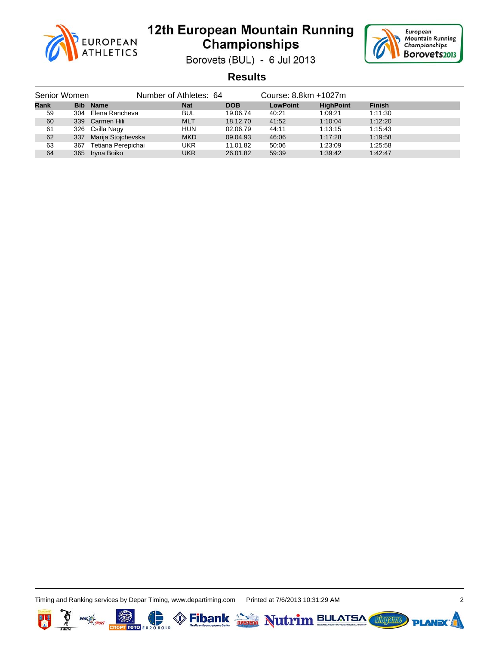



Borovets (BUL) - 6 Jul 2013

**Results**

| Senior Women |     |                        | Number of Athletes: 64 |            | Course: 8.8km +1027m |                  |               |
|--------------|-----|------------------------|------------------------|------------|----------------------|------------------|---------------|
| <b>Rank</b>  |     | <b>Bib</b> Name        | <b>Nat</b>             | <b>DOB</b> | <b>LowPoint</b>      | <b>HighPoint</b> | <b>Finish</b> |
| 59           |     | 304 Elena Rancheva     | <b>BUL</b>             | 19.06.74   | 40:21                | 1:09:21          | 1:11:30       |
| 60           |     | 339 Carmen Hili        | <b>MLT</b>             | 18.12.70   | 41:52                | 1:10:04          | 1:12:20       |
| 61           |     | 326 Csilla Nagy        | <b>HUN</b>             | 02.06.79   | 44:11                | 1:13:15          | 1:15:43       |
| 62           |     | 337 Marija Stojchevska | <b>MKD</b>             | 09.04.93   | 46:06                | 1:17:28          | 1:19:58       |
| 63           | 367 | Tetiana Perepichai     | UKR                    | 11.01.82   | 50:06                | 1:23:09          | 1:25:58       |
| 64           |     | 365 Iryna Boiko        | <b>UKR</b>             | 26.01.82   | 59:39                | 1:39:42          | 1:42:47       |

Timing and Ranking services by Depar Timing, www.departiming.com Printed at 7/6/2013 10:31:29 AM 2

т тото









**PLANEX**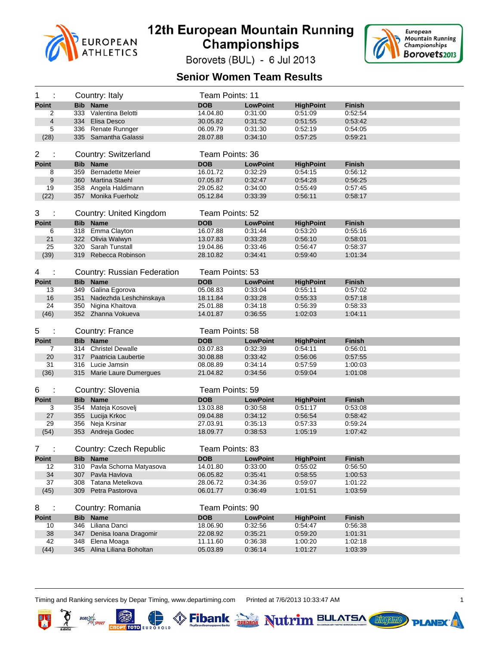



Borovets (BUL) - 6 Jul 2013

#### **Senior Women Team Results**

| 1                  |     | Country: Italy                                  | Team Points: 11        |                            |                    |                          |
|--------------------|-----|-------------------------------------------------|------------------------|----------------------------|--------------------|--------------------------|
| <b>Point</b>       | Bib | <b>Name</b>                                     | <b>DOB</b>             | <b>LowPoint</b>            | <b>HighPoint</b>   | <b>Finish</b>            |
| 2                  |     | 333 Valentina Belotti                           | 14.04.80               | 0:31:00                    | 0:51:09            | 0:52:54                  |
| $\overline{4}$     |     | 334 Elisa Desco                                 | 30.05.82               | 0:31:52                    | 0:51:55            | 0:53:42                  |
| 5                  |     | 336 Renate Runnger                              | 06.09.79               | 0:31:30                    | 0:52:19            | 0:54:05                  |
| (28)               |     | 335 Samantha Galassi                            | 28.07.88               | 0.34:10                    | 0.57.25            | 0:59:21                  |
|                    |     |                                                 |                        |                            |                    |                          |
| 2                  |     | Country: Switzerland                            | Team Points: 36        |                            |                    |                          |
| <b>Point</b>       |     | <b>Bib Name</b>                                 | <b>DOB</b>             | <b>LowPoint</b>            | <b>HighPoint</b>   | <b>Finish</b>            |
| 8                  | 359 | <b>Bernadette Meier</b>                         | 16.01.72               | 0:32:29                    | 0:54:15            | 0:56:12                  |
| 9                  |     | 360 Martina Staehl                              | 07.05.87               | 0:32:47                    | 0:54:28            | 0:56:25                  |
| 19                 |     | 358 Angela Haldimann                            | 29.05.82               | 0:34:00                    | 0.55.49            | 0.57.45                  |
| (22)               |     | 357 Monika Fuerholz                             | 05.12.84               | 0:33:39                    | 0:56:11            | 0:58:17                  |
|                    |     |                                                 |                        |                            |                    |                          |
| 3                  |     | Country: United Kingdom                         | Team Points: 52        |                            |                    |                          |
| <b>Point</b>       |     | <b>Bib Name</b>                                 | <b>DOB</b>             | <b>LowPoint</b>            | <b>HighPoint</b>   | <b>Finish</b>            |
| 6                  |     | 318 Emma Clayton                                | 16.07.88               | 0:31:44                    | 0:53:20            | 0.55:16                  |
| 21                 |     | 322 Olivia Walwyn                               | 13.07.83               | 0:33:28                    | 0:56:10            | 0.58.01                  |
| 25                 |     | 320 Sarah Tunstall                              | 19.04.86               | 0.33.46                    | 0.56.47            | 0:58:37                  |
| (39)               |     | 319 Rebecca Robinson                            | 28.10.82               | 0:34:41                    | 0:59:40            | 1:01:34                  |
|                    |     |                                                 |                        |                            |                    |                          |
| 4                  |     | Country: Russian Federation                     | Team Points: 53        |                            |                    |                          |
|                    |     |                                                 |                        |                            |                    |                          |
| <b>Point</b>       |     | <b>Bib Name</b>                                 | <b>DOB</b>             | <b>LowPoint</b>            | <b>HighPoint</b>   | <b>Finish</b>            |
| 13                 |     | 349 Galina Egorova                              | 05.08.83               | 0:33:04                    | 0:55:11            | 0:57:02                  |
| 16                 |     | 351 Nadezhda Leshchinskaya                      | 18.11.84               | 0:33:28                    | 0:55:33            | 0:57:18                  |
| 24                 |     | 350 Nigina Khaitova                             | 25.01.88               | 0.34.18                    | 0:56:39            | 0.58.33                  |
| (46)               |     | 352 Zhanna Vokueva                              | 14.01.87               | 0:36:55                    | 1:02:03            | 1:04:11                  |
| 5<br>÷             |     | Country: France                                 | Team Points: 58        |                            |                    |                          |
|                    |     | <b>Bib Name</b>                                 | <b>DOB</b>             |                            |                    |                          |
| <b>Point</b>       |     |                                                 |                        | <b>LowPoint</b>            | <b>HighPoint</b>   | <b>Finish</b>            |
| 7<br>20            |     | 314 Christel Dewalle<br>317 Paatricia Laubertie | 03.07.83<br>30.08.88   | 0:32:39<br>0:33:42         | 0:54:11            | 0.56.01                  |
| 31                 |     |                                                 |                        |                            | 0:56:06            | 0.57:55                  |
| (36)               |     | 316 Lucie Jamsin<br>315 Marie Laure Dumergues   | 08.08.89<br>21.04.82   | 0:34:14<br>0:34:56         | 0:57:59<br>0:59:04 | 1:00:03<br>1:01:08       |
|                    |     |                                                 |                        |                            |                    |                          |
| 6<br>÷             |     | Country: Slovenia                               | Team Points: 59        |                            |                    |                          |
|                    |     |                                                 |                        |                            |                    |                          |
| <b>Point</b>       |     | <b>Bib Name</b>                                 | <b>DOB</b>             | <b>LowPoint</b>            | <b>HighPoint</b>   | <b>Finish</b>            |
| 3                  |     | 354 Mateja Kosovelj<br>355 Lucija Krkoc         | 13.03.88               | 0:30:58                    | 0:51:17            | 0:53:08                  |
| 27<br>29           |     | 356 Neja Krsinar                                | 09.04.88<br>27.03.91   | 0:34:12<br>0:35:13         | 0:56:54<br>0:57:33 | 0:58:42<br>0.59.24       |
| (54)               |     | 353 Andreja Godec                               | 18.09.77               | 0:38:53                    | 1:05:19            | 1:07:42                  |
|                    |     |                                                 |                        |                            |                    |                          |
| 7                  |     | <b>Country: Czech Republic</b>                  | Team Points: 83        |                            |                    |                          |
|                    |     |                                                 |                        |                            |                    |                          |
| <b>Point</b>       |     | <b>Bib Name</b>                                 | <b>DOB</b>             | <b>LowPoint</b>            | <b>HighPoint</b>   | <b>Finish</b>            |
| 12                 |     | 310 Pavla Schorna Matyasova                     | 14.01.80               | 0:33:00                    | 0:55:02            | 0:56:50                  |
| 34                 | 307 | Pavla Havlova                                   | 06.05.82               | 0.35:41                    | 0:58:55            | 1:00:53                  |
| 37                 | 308 | Tatana Metelkova                                | 28.06.72               | 0:34:36                    | 0:59:07            | 1:01:22                  |
| (45)               |     | 309 Petra Pastorova                             | 06.01.77               | 0:36:49                    | 1:01:51            | 1:03:59                  |
| 8<br>÷             |     | Country: Romania                                | Team Points: 90        |                            |                    |                          |
|                    |     |                                                 |                        |                            |                    |                          |
| <b>Point</b><br>10 |     | <b>Bib Name</b><br>346 Liliana Danci            | <b>DOB</b><br>18.06.90 | <b>LowPoint</b><br>0:32:56 | <b>HighPoint</b>   | <b>Finish</b><br>0.56.38 |
|                    |     | 347 Denisa Ioana Dragomir                       |                        | 0:35:21                    | 0:54:47            |                          |
| 38<br>42           | 348 | Elena Moaga                                     | 22.08.92<br>11.11.60   | 0:36:38                    | 0:59:20<br>1:00:20 | 1:01:31<br>1:02:18       |
| (44)               |     | 345 Alina Liliana Boholtan                      | 05.03.89               | 0.36:14                    | 1:01:27            | 1:03:39                  |
|                    |     |                                                 |                        |                            |                    |                          |

Timing and Ranking services by Depar Timing, www.departiming.com Printed at 7/6/2013 10:33:47 AM 1

т тото

队

**Lilogenne** 

**PLANE** 

Fibank **Dead** Nutrim BULATSA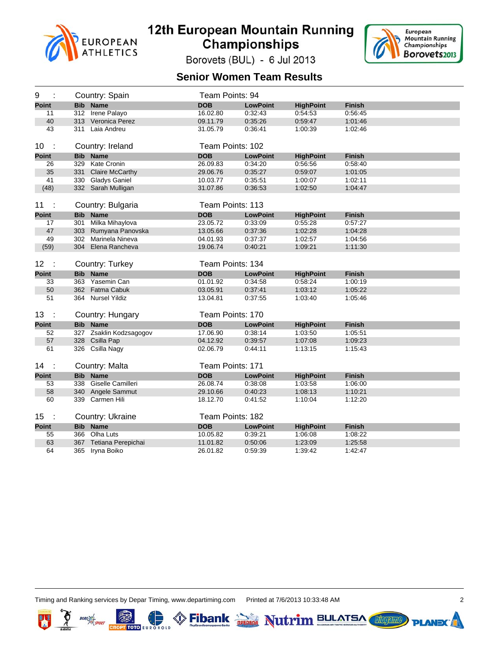



Borovets (BUL) - 6 Jul 2013

#### **Senior Women Team Results**

| 9                                | Country: Spain     |                         | Team Points: 94  |                 |                  |               |
|----------------------------------|--------------------|-------------------------|------------------|-----------------|------------------|---------------|
| <b>Point</b>                     | <b>Bib Name</b>    |                         | <b>DOB</b>       | <b>LowPoint</b> | <b>HighPoint</b> | <b>Finish</b> |
| 11                               | 312 Irene Palayo   |                         | 16.02.80         | 0:32:43         | 0:54:53          | 0:56:45       |
| 40                               | 313 Veronica Perez |                         | 09.11.79         | 0:35:26         | 0:59:47          | 1:01:46       |
| 43                               | 311 Laia Andreu    |                         | 31.05.79         | 0:36:41         | 1:00:39          | 1:02:46       |
|                                  |                    |                         |                  |                 |                  |               |
| 10<br>$\mathbf{L}$               | Country: Ireland   |                         | Team Points: 102 |                 |                  |               |
| <b>Point</b>                     | <b>Bib Name</b>    |                         | <b>DOB</b>       | <b>LowPoint</b> | <b>HighPoint</b> | <b>Finish</b> |
| 26                               | 329 Kate Cronin    |                         | 26.09.83         | 0:34:20         | 0:56:56          | 0:58:40       |
| 35                               |                    | 331 Claire McCarthy     | 29.06.76         | 0:35:27         | 0:59:07          | 1:01:05       |
| 41                               | 330 Gladys Ganiel  |                         | 10.03.77         | 0:35:51         | 1:00:07          | 1:02:11       |
| (48)                             | 332 Sarah Mulligan |                         | 31.07.86         | 0:36:53         | 1:02:50          | 1:04:47       |
|                                  |                    |                         |                  |                 |                  |               |
| 11<br>$\mathbf{L}$               |                    | Country: Bulgaria       | Team Points: 113 |                 |                  |               |
| <b>Point</b>                     | <b>Bib</b> Name    |                         | <b>DOB</b>       | <b>LowPoint</b> | <b>HighPoint</b> | <b>Finish</b> |
| 17                               |                    | 301 Milka Mihaylova     | 23.05.72         | 0:33:09         | 0:55:28          | 0:57:27       |
| 47                               |                    | 303 Rumyana Panovska    | 13.05.66         | 0:37:36         | 1:02:28          | 1:04:28       |
| 49                               |                    | 302 Marinela Nineva     | 04.01.93         | 0:37:37         | 1:02:57          | 1:04:56       |
| (59)                             |                    | 304 Elena Rancheva      | 19.06.74         | 0:40:21         | 1:09:21          | 1:11:30       |
|                                  |                    |                         |                  |                 |                  |               |
| 12 <sub>2</sub><br>$\sim$        | Country: Turkey    |                         | Team Points: 134 |                 |                  |               |
|                                  |                    |                         |                  |                 |                  |               |
| <b>Point</b>                     | <b>Bib Name</b>    |                         | <b>DOB</b>       | <b>LowPoint</b> | <b>HighPoint</b> | <b>Finish</b> |
| 33                               | 363 Yasemin Can    |                         | 01.01.92         | 0.34.58         | 0:58:24          | 1:00:19       |
| 50                               | 362 Fatma Cabuk    |                         | 03.05.91         | 0:37:41         | 1:03:12          | 1:05:22       |
| 51                               | 364 Nursel Yildiz  |                         | 13.04.81         | 0:37:55         | 1:03:40          | 1:05:46       |
|                                  |                    |                         |                  |                 |                  |               |
| 13<br>- 1                        |                    | Country: Hungary        | Team Points: 170 |                 |                  |               |
| <b>Point</b>                     | <b>Bib</b> Name    |                         | <b>DOB</b>       | <b>LowPoint</b> | <b>HighPoint</b> | <b>Finish</b> |
| 52                               |                    | 327 Zsaklin Kodzsagogov | 17.06.90         | 0:38:14         | 1:03:50          | 1:05:51       |
| 57                               | 328 Csilla Pap     |                         | 04.12.92         | 0:39:57         | 1:07:08          | 1:09:23       |
| 61                               | 326 Csilla Nagy    |                         | 02.06.79         | 0:44:11         | 1:13:15          | 1:15:43       |
|                                  |                    |                         |                  |                 |                  |               |
| 14<br>$\overline{\phantom{a}}$ : | Country: Malta     |                         | Team Points: 171 |                 |                  |               |
| <b>Point</b>                     | <b>Bib Name</b>    |                         | <b>DOB</b>       | <b>LowPoint</b> | <b>HighPoint</b> | <b>Finish</b> |
| 53                               |                    | 338 Giselle Camilleri   | 26.08.74         | 0:38:08         | 1:03:58          | 1:06:00       |
| 58                               |                    | 340 Angele Sammut       | 29.10.66         | 0:40:23         | 1:08:13          | 1:10:21       |
| 60                               | 339 Carmen Hili    |                         | 18.12.70         | 0:41:52         | 1:10:04          | 1:12:20       |
|                                  |                    |                         |                  |                 |                  |               |
| 15 <sub>1</sub><br>- 1           |                    | Country: Ukraine        | Team Points: 182 |                 |                  |               |
| <b>Point</b>                     | <b>Bib Name</b>    |                         | <b>DOB</b>       | <b>LowPoint</b> | <b>HighPoint</b> | <b>Finish</b> |
| 55                               | 366 Olha Luts      |                         | 10.05.82         | 0:39:21         | 1:06:08          | 1:08:22       |
| 63                               | 365 Iryna Boiko    | 367 Tetiana Perepichai  | 11.01.82         | 0:50:06         | 1:23:09          | 1:25:58       |

т тото

Fibank **Depted** Nutrim BULATSA



**Libraries** 

**PLANE**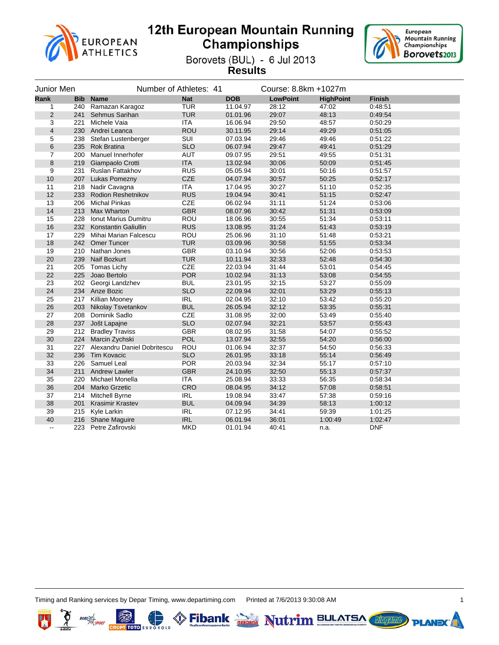



Borovets (BUL) - 6 Jul 2013 **Results**

| Junior Men               |            |                             | Number of Athletes: 41 |            | Course: 8.8km +1027m |                  |               |
|--------------------------|------------|-----------------------------|------------------------|------------|----------------------|------------------|---------------|
| Rank                     | <b>Bib</b> | <b>Name</b>                 | <b>Nat</b>             | <b>DOB</b> | <b>LowPoint</b>      | <b>HighPoint</b> | <b>Finish</b> |
| 1                        | 240        | Ramazan Karagoz             | <b>TUR</b>             | 11.04.97   | 28:12                | 47:02            | 0:48:51       |
| $\overline{2}$           | 241        | Sehmus Sarihan              | <b>TUR</b>             | 01.01.96   | 29:07                | 48:13            | 0:49:54       |
| 3                        | 221        | Michele Vaia                | <b>ITA</b>             | 16.06.94   | 29:50                | 48:57            | 0:50:29       |
| $\overline{\mathbf{4}}$  | 230        | Andrei Leanca               | <b>ROU</b>             | 30.11.95   | 29:14                | 49:29            | 0:51:05       |
| 5                        | 238        | Stefan Lustenberger         | SUI                    | 07.03.94   | 29:46                | 49:46            | 0:51:22       |
| 6                        | 235        | <b>Rok Bratina</b>          | <b>SLO</b>             | 06.07.94   | 29:47                | 49:41            | 0:51:29       |
| $\overline{7}$           | 200        | Manuel Innerhofer           | AUT                    | 09.07.95   | 29:51                | 49:55            | 0.51.31       |
| 8                        | 219        | Giampaolo Crotti            | <b>ITA</b>             | 13.02.94   | 30:06                | 50:09            | 0.51.45       |
| 9                        | 231        | Ruslan Fattakhov            | <b>RUS</b>             | 05.05.94   | 30:01                | 50:16            | 0:51:57       |
| 10                       | 207        | Lukas Pomezny               | CZE                    | 04.07.94   | 30:57                | 50:25            | 0:52:17       |
| 11                       | 218        | Nadir Cavagna               | <b>ITA</b>             | 17.04.95   | 30:27                | 51:10            | 0:52:35       |
| 12                       | 233        | <b>Rodion Reshetnikov</b>   | <b>RUS</b>             | 19.04.94   | 30:41                | 51:15            | 0.52:47       |
| 13                       |            | 206 Michal Pinkas           | CZE                    | 06.02.94   | 31:11                | 51:24            | 0:53:06       |
| 14                       | 213        | <b>Max Wharton</b>          | <b>GBR</b>             | 08.07.96   | 30:42                | 51:31            | 0.53.09       |
| 15                       | 228        | Ionut Marius Dumitru        | ROU                    | 18.06.96   | 30:55                | 51:34            | 0.53.11       |
| 16                       | 232        | Konstantin Galiullin        | <b>RUS</b>             | 13.08.95   | 31:24                | 51:43            | 0.53.19       |
| 17                       | 229        | Mihai Marian Falcescu       | <b>ROU</b>             | 25.06.96   | 31:10                | 51:48            | 0:53:21       |
| 18                       | 242        | Omer Tuncer                 | <b>TUR</b>             | 03.09.96   | 30:58                | 51:55            | 0:53:34       |
| 19                       | 210        | Nathan Jones                | <b>GBR</b>             | 03.10.94   | 30:56                | 52:06            | 0:53:53       |
| 20                       | 239        | Naif Bozkurt                | <b>TUR</b>             | 10.11.94   | 32:33                | 52:48            | 0:54:30       |
| 21                       | 205        | Tomas Lichy                 | CZE                    | 22.03.94   | 31:44                | 53:01            | 0:54:45       |
| 22                       | 225        | Joao Bertolo                | <b>POR</b>             | 10.02.94   | 31:13                | 53:08            | 0.54.55       |
| 23                       |            | 202 Georgi Landzhev         | <b>BUL</b>             | 23.01.95   | 32:15                | 53:27            | 0:55:09       |
| 24                       |            | 234 Anze Bozic              | <b>SLO</b>             | 22.09.94   | 32:01                | 53:29            | 0.55.13       |
| 25                       |            | 217 Killian Mooney          | <b>IRL</b>             | 02.04.95   | 32:10                | 53:42            | 0:55:20       |
| 26                       | 203        | Nikolay Tsvetankov          | <b>BUL</b>             | 26.05.94   | 32:12                | 53:35            | 0:55:31       |
| 27                       | 208        | Dominik Sadlo               | CZE                    | 31.08.95   | 32:00                | 53:49            | 0:55:40       |
| 28                       | 237        | Jošt Lapajne                | <b>SLO</b>             | 02.07.94   | 32:21                | 53:57            | 0:55:43       |
| 29                       | 212        | <b>Bradley Traviss</b>      | <b>GBR</b>             | 08.02.95   | 31:58                | 54:07            | 0:55:52       |
| 30                       | 224        | Marcin Zychski              | POL                    | 13.07.94   | 32:55                | 54:20            | 0:56:00       |
| 31                       | 227        | Alexandru Daniel Dobritescu | <b>ROU</b>             | 01.06.94   | 32:37                | 54:50            | 0:56:33       |
| 32                       | 236        | <b>Tim Kovacic</b>          | <b>SLO</b>             | 26.01.95   | 33:18                | 55:14            | 0:56:49       |
| 33                       | 226        | Samuel Leal                 | <b>POR</b>             | 20.03.94   | 32:34                | 55:17            | 0:57:10       |
| 34                       | 211        | <b>Andrew Lawler</b>        | <b>GBR</b>             | 24.10.95   | 32:50                | 55:13            | 0.57:37       |
| 35                       | 220        | Michael Monella             | <b>ITA</b>             | 25.08.94   | 33:33                | 56:35            | 0.58.34       |
| 36                       | 204        | <b>Marko Grzetic</b>        | CRO                    | 08.04.95   | 34:12                | 57:08            | 0:58:51       |
| 37                       | 214        | Mitchell Byrne              | <b>IRL</b>             | 19.08.94   | 33:47                | 57:38            | 0:59:16       |
| 38                       | 201        | <b>Krasimir Krastev</b>     | <b>BUL</b>             | 04.09.94   | 34:39                | 58:13            | 1:00:12       |
| 39                       | 215        | Kyle Larkin                 | <b>IRL</b>             | 07.12.95   | 34:41                | 59:39            | 1:01:25       |
| 40                       | 216        | <b>Shane Maguire</b>        | <b>IRL</b>             | 06.01.94   | 36:01                | 1:00:49          | 1:02:47       |
| $\overline{\phantom{a}}$ | 223        | Petre Zafirovski            | <b>MKD</b>             | 01.01.94   | 40:41                | n.a.             | <b>DNF</b>    |

Timing and Ranking services by Depar Timing, www.departiming.com Printed at 7/6/2013 9:30:08 AM 1

**CROPT TOTO EUR** 

Fibank **Depths** Nutrim BULATSA



**PLANE**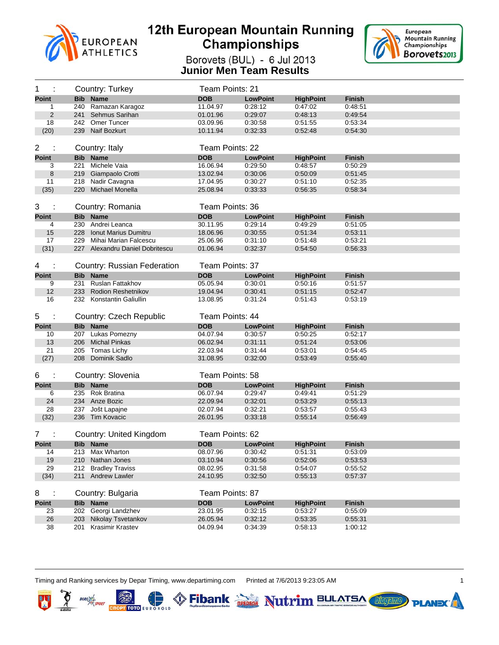



Borovets (BUL) - 6 Jul 2013 **Junior Men Team Results**

| 1<br>Team Points: 21<br>Country: Turkey                                                                                                                 |  |
|---------------------------------------------------------------------------------------------------------------------------------------------------------|--|
| <b>Bib Name</b><br><b>DOB</b><br><b>Point</b><br><b>LowPoint</b><br><b>HighPoint</b><br><b>Finish</b>                                                   |  |
| 240 Ramazan Karagoz<br>0:47:02<br>0:48:51<br>11.04.97<br>0:28:12<br>1                                                                                   |  |
| $\overline{2}$<br>241 Sehmus Sarihan<br>0:29:07<br>0:48:13<br>0:49:54<br>01.01.96                                                                       |  |
| 18<br>242 Omer Tuncer<br>03.09.96<br>0:30:58<br>0:51:55<br>0:53:34                                                                                      |  |
| (20)<br>239 Naif Bozkurt<br>0:32:33<br>0:52:48<br>0:54:30<br>10.11.94                                                                                   |  |
|                                                                                                                                                         |  |
| Team Points: 22<br>$\overline{2}$<br>÷<br>Country: Italy                                                                                                |  |
| <b>Bib Name</b><br><b>DOB</b><br><b>Point</b><br><b>LowPoint</b><br><b>HighPoint</b><br><b>Finish</b>                                                   |  |
| 221<br>Michele Vaia<br>16.06.94<br>0:29:50<br>0:48:57<br>0:50:29<br>3                                                                                   |  |
| 8<br>219 Giampaolo Crotti<br>13.02.94<br>0:30:06<br>0:50:09<br>0:51:45                                                                                  |  |
| 11<br>218 Nadir Cavagna<br>0:51:10<br>0:52:35<br>17.04.95<br>0:30:27                                                                                    |  |
| 220 Michael Monella<br>(35)<br>25.08.94<br>0:33:33<br>0:58:34<br>0:56:35                                                                                |  |
|                                                                                                                                                         |  |
| 3<br>Team Points: 36<br>Country: Romania                                                                                                                |  |
| <b>Point</b><br><b>Bib Name</b><br><b>DOB</b><br><b>LowPoint</b><br><b>HighPoint</b><br><b>Finish</b>                                                   |  |
| 230 Andrei Leanca<br>30.11.95<br>0:29:14<br>0:49:29<br>0:51:05<br>4                                                                                     |  |
| 15<br>228<br>Ionut Marius Dumitru<br>18.06.96<br>0:30:55<br>0:51:34<br>0:53:11                                                                          |  |
| 17<br>0:53:21<br>229 Mihai Marian Falcescu<br>25.06.96<br>0:31:10<br>0:51:48                                                                            |  |
| (31)<br>01.06.94<br>0:32:37<br>0:54:50<br>0:56:33<br>227 Alexandru Daniel Dobritescu                                                                    |  |
| <b>Country: Russian Federation</b><br>Team Points: 37<br>4<br>÷                                                                                         |  |
|                                                                                                                                                         |  |
| <b>Bib Name</b><br><b>Point</b><br><b>DOB</b><br><b>LowPoint</b><br><b>HighPoint</b><br><b>Finish</b>                                                   |  |
|                                                                                                                                                         |  |
| 231 Ruslan Fattakhov<br>05.05.94<br>0:50:16<br>0:51:57<br>9<br>0:30:01                                                                                  |  |
| 12<br><b>Rodion Reshetnikov</b><br>0:51:15<br>0:52:47<br>233<br>19.04.94<br>0:30:41                                                                     |  |
| 16<br>232 Konstantin Galiullin<br>13.08.95<br>0:31:24<br>0:51:43<br>0:53:19                                                                             |  |
|                                                                                                                                                         |  |
| 5<br>Team Points: 44<br>÷<br>Country: Czech Republic                                                                                                    |  |
| <b>DOB</b><br><b>Point</b><br><b>Bib Name</b><br><b>LowPoint</b><br><b>HighPoint</b><br><b>Finish</b>                                                   |  |
| 207 Lukas Pomezny<br>04.07.94<br>0:30:57<br>0:50:25<br>0:52:17<br>10                                                                                    |  |
| 13<br>206 Michal Pinkas<br>0:51:24<br>06.02.94<br>0:31:11<br>0:53:06                                                                                    |  |
| 21<br>205 Tomas Lichy<br>22.03.94<br>0:31:44<br>0:53:01<br>0:54:45<br>208 Dominik Sadlo<br>31.08.95<br>0:32:00<br>0:53:49<br>0:55:40                    |  |
| (27)                                                                                                                                                    |  |
| 6<br>Team Points: 58                                                                                                                                    |  |
| Country: Slovenia                                                                                                                                       |  |
| <b>Bib Name</b><br><b>DOB</b><br><b>Point</b><br><b>LowPoint</b><br><b>HighPoint</b><br><b>Finish</b><br>235 Rok Bratina<br>0:49:41<br>6                |  |
| 06.07.94<br>0:29:47<br>0:51:29<br>24<br>234 Anze Bozic<br>22.09.94<br>0:32:01<br>0:53:29<br>0:55:13                                                     |  |
| 28<br>02.07.94<br>0:32:21<br>0:53:57<br>0:55:43<br>237 Jošt Lapajne                                                                                     |  |
| (32)<br>236 Tim Kovacic<br>0:33:18<br>0:55:14<br>26.01.95<br>0:56:49                                                                                    |  |
|                                                                                                                                                         |  |
| 7<br>Country: United Kingdom<br>Team Points: 62                                                                                                         |  |
| <b>Point</b><br><b>Bib</b> Name<br><b>DOB</b><br><b>LowPoint</b><br><b>HighPoint</b><br><b>Finish</b>                                                   |  |
| 14<br>213 Max Wharton<br>08.07.96<br>0.30.42<br>0:51:31<br>0:53:09                                                                                      |  |
| 19<br>210 Nathan Jones<br>03.10.94<br>0:30:56<br>0:52:06<br>0:53:53                                                                                     |  |
| 29<br>212<br><b>Bradley Traviss</b><br>08.02.95<br>0:31:58<br>0:54:07<br>0.55.52                                                                        |  |
| (34)<br>211 Andrew Lawler<br>24.10.95<br>0.32:50<br>0:55:13<br>0:57:37                                                                                  |  |
|                                                                                                                                                         |  |
| Country: Bulgaria<br>Team Points: 87<br>8<br>÷                                                                                                          |  |
| <b>Bib Name</b><br><b>DOB</b><br><b>Point</b><br><b>LowPoint</b><br><b>HighPoint</b><br><b>Finish</b>                                                   |  |
| 202 Georgi Landzhev<br>0:32:15<br>0:53:27<br>0:55:09<br>23<br>23.01.95                                                                                  |  |
| 26<br>Nikolay Tsvetankov<br>26.05.94<br>0.32:12<br>0.53:35<br>0:55:31<br>203<br>38<br>201 Krasimir Krastev<br>0:34:39<br>0:58:13<br>04.09.94<br>1:00:12 |  |

Eibank **DEDEAR** Nutrim BULATSA

Timing and Ranking services by Depar Timing, www.departiming.com Printed at 7/6/2013 9:23:05 AM 1

叫

**BORO** 



**Lilogenne** 

**PLAN**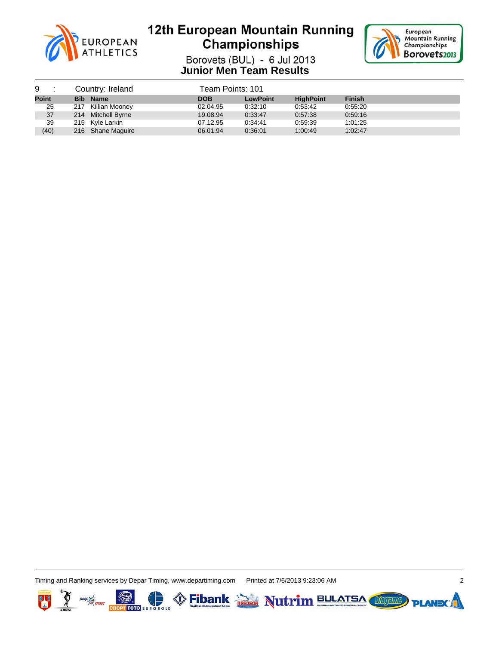



Borovets (BUL) - 6 Jul 2013 **Junior Men Team Results**

| 9:           |  | Country: Ireland   | Team Points: 101 |                 |                  |               |  |
|--------------|--|--------------------|------------------|-----------------|------------------|---------------|--|
| <b>Point</b> |  | <b>Bib Name</b>    | <b>DOB</b>       | <b>LowPoint</b> | <b>HighPoint</b> | <b>Finish</b> |  |
| 25           |  | 217 Killian Mooney | 02.04.95         | 0:32:10         | 0:53:42          | 0.55:20       |  |
| 37           |  | 214 Mitchell Byrne | 19.08.94         | 0:33:47         | 0.57.38          | 0:59:16       |  |
| 39           |  | 215 Kyle Larkin    | 07.12.95         | 0:34:41         | 0:59:39          | 1:01:25       |  |
| (40)         |  | 216 Shane Maguire  | 06.01.94         | 0:36:01         | 1:00:49          | 1:02:47       |  |

Timing and Ranking services by Depar Timing, www.departiming.com Printed at 7/6/2013 9:23:06 AM 2



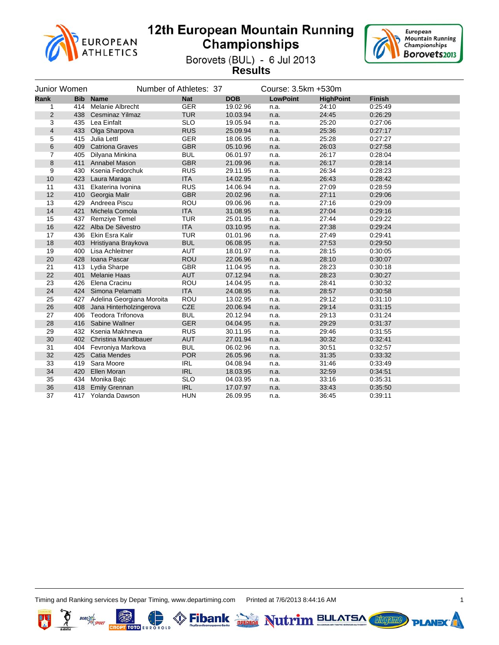



Borovets (BUL) - 6 Jul 2013 **Results**

|                | Junior Women |                               | Number of Athletes: 37 |            | Course: 3.5km +530m |                  |               |
|----------------|--------------|-------------------------------|------------------------|------------|---------------------|------------------|---------------|
| Rank           | <b>Bib</b>   | <b>Name</b>                   | <b>Nat</b>             | <b>DOB</b> | <b>LowPoint</b>     | <b>HighPoint</b> | <b>Finish</b> |
| 1              | 414          | Melanie Albrecht              | <b>GER</b>             | 19.02.96   | n.a.                | 24:10            | 0:25:49       |
| $\overline{2}$ | 438          | <b>Cesminaz Yilmaz</b>        | <b>TUR</b>             | 10.03.94   | n.a.                | 24:45            | 0.26.29       |
| 3              |              | 435 Lea Einfalt               | <b>SLO</b>             | 19.05.94   | n.a.                | 25:20            | 0.27:06       |
| $\overline{4}$ | 433          | Olga Sharpova                 | <b>RUS</b>             | 25.09.94   | n.a.                | 25:36            | 0.27:17       |
| 5              | 415          | Julia Lettl                   | <b>GER</b>             | 18.06.95   | n.a.                | 25:28            | 0:27:27       |
| 6              | 409          | <b>Catriona Graves</b>        | <b>GBR</b>             | 05.10.96   | n.a.                | 26:03            | 0.27:58       |
| 7              | 405          | Dilyana Minkina               | <b>BUL</b>             | 06.01.97   | n.a.                | 26:17            | 0:28:04       |
| 8              |              | 411 Annabel Mason             | <b>GBR</b>             | 21.09.96   | n.a.                | 26:17            | 0.28:14       |
| 9              | 430          | Ksenia Fedorchuk              | <b>RUS</b>             | 29.11.95   | n.a.                | 26:34            | 0:28:23       |
| 10             | 423          | Laura Maraga                  | <b>ITA</b>             | 14.02.95   | n.a.                | 26:43            | 0.28.42       |
| 11             | 431          | Ekaterina Ivonina             | <b>RUS</b>             | 14.06.94   | n.a.                | 27:09            | 0:28:59       |
| 12             | 410          | Georgia Malir                 | <b>GBR</b>             | 20.02.96   | n.a.                | 27:11            | 0.29:06       |
| 13             | 429          | Andreea Piscu                 | ROU                    | 09.06.96   | n.a.                | 27:16            | 0.29:09       |
| 14             | 421          | Michela Comola                | <b>ITA</b>             | 31.08.95   | n.a.                | 27:04            | 0.29:16       |
| 15             | 437          | <b>Remziye Temel</b>          | <b>TUR</b>             | 25.01.95   | n.a.                | 27:44            | 0:29:22       |
| 16             |              | 422 Alba De Silvestro         | <b>ITA</b>             | 03.10.95   | n.a.                | 27:38            | 0.29.24       |
| 17             |              | 436 Ekin Esra Kalir           | <b>TUR</b>             | 01.01.96   | n.a.                | 27:49            | 0:29:41       |
| 18             | 403          | Hristiyana Braykova           | <b>BUL</b>             | 06.08.95   | n.a.                | 27:53            | 0:29:50       |
| 19             | 400          | Lisa Achleitner               | <b>AUT</b>             | 18.01.97   | n.a.                | 28:15            | 0:30:05       |
| 20             | 428          | Ioana Pascar                  | ROU                    | 22.06.96   | n.a.                | 28:10            | 0:30:07       |
| 21             | 413          | Lydia Sharpe                  | <b>GBR</b>             | 11.04.95   | n.a.                | 28:23            | 0:30:18       |
| 22             | 401          | <b>Melanie Haas</b>           | <b>AUT</b>             | 07.12.94   | n.a.                | 28:23            | 0:30:27       |
| 23             | 426          | Elena Cracinu                 | ROU                    | 14.04.95   | n.a.                | 28:41            | 0:30:32       |
| 24             | 424          | Simona Pelamatti              | <b>ITA</b>             | 24.08.95   | n.a.                | 28:57            | 0:30:58       |
| 25             |              | 427 Adelina Georgiana Moroita | ROU                    | 13.02.95   | n.a.                | 29:12            | 0:31:10       |
| 26             | 408          | Jana Hinterholzingerova       | CZE                    | 20.06.94   | n.a.                | 29:14            | 0.31:15       |
| 27             | 406          | Teodora Trifonova             | <b>BUL</b>             | 20.12.94   | n.a.                | 29:13            | 0:31:24       |
| 28             |              | 416 Sabine Wallner            | <b>GER</b>             | 04.04.95   | n.a.                | 29:29            | 0.31:37       |
| 29             |              | 432 Ksenia Makhneva           | <b>RUS</b>             | 30.11.95   | n.a.                | 29:46            | 0:31:55       |
| 30             | 402          | <b>Christina Mandlbauer</b>   | <b>AUT</b>             | 27.01.94   | n.a.                | 30:32            | 0.32:41       |
| 31             | 404          | Fevroniya Markova             | <b>BUL</b>             | 06.02.96   | n.a.                | 30:51            | 0:32:57       |
| 32             | 425          | Catia Mendes                  | <b>POR</b>             | 26.05.96   | n.a.                | 31:35            | 0.33.32       |
| 33             | 419          | Sara Moore                    | <b>IRL</b>             | 04.08.94   | n.a.                | 31:46            | 0:33:49       |
| 34             | 420          | Ellen Moran                   | <b>IRL</b>             | 18.03.95   | n.a.                | 32:59            | 0.34.51       |
| 35             |              | 434 Monika Bajc               | <b>SLO</b>             | 04.03.95   | n.a.                | 33:16            | 0:35:31       |
| 36             | 418          | <b>Emily Grennan</b>          | <b>IRL</b>             | 17.07.97   | n.a.                | 33:43            | 0.35.50       |
| 37             |              | 417 Yolanda Dawson            | <b>HUN</b>             | 26.09.95   | n.a.                | 36:45            | 0:39:11       |

Timing and Ranking services by Depar Timing, www.departiming.com Printed at 7/6/2013 8:44:16 AM 1

**CROPT TOTO EUR** 

Fibank **Depths** Nutrim BULATSA



**PLANE** 

**Lilogenne**